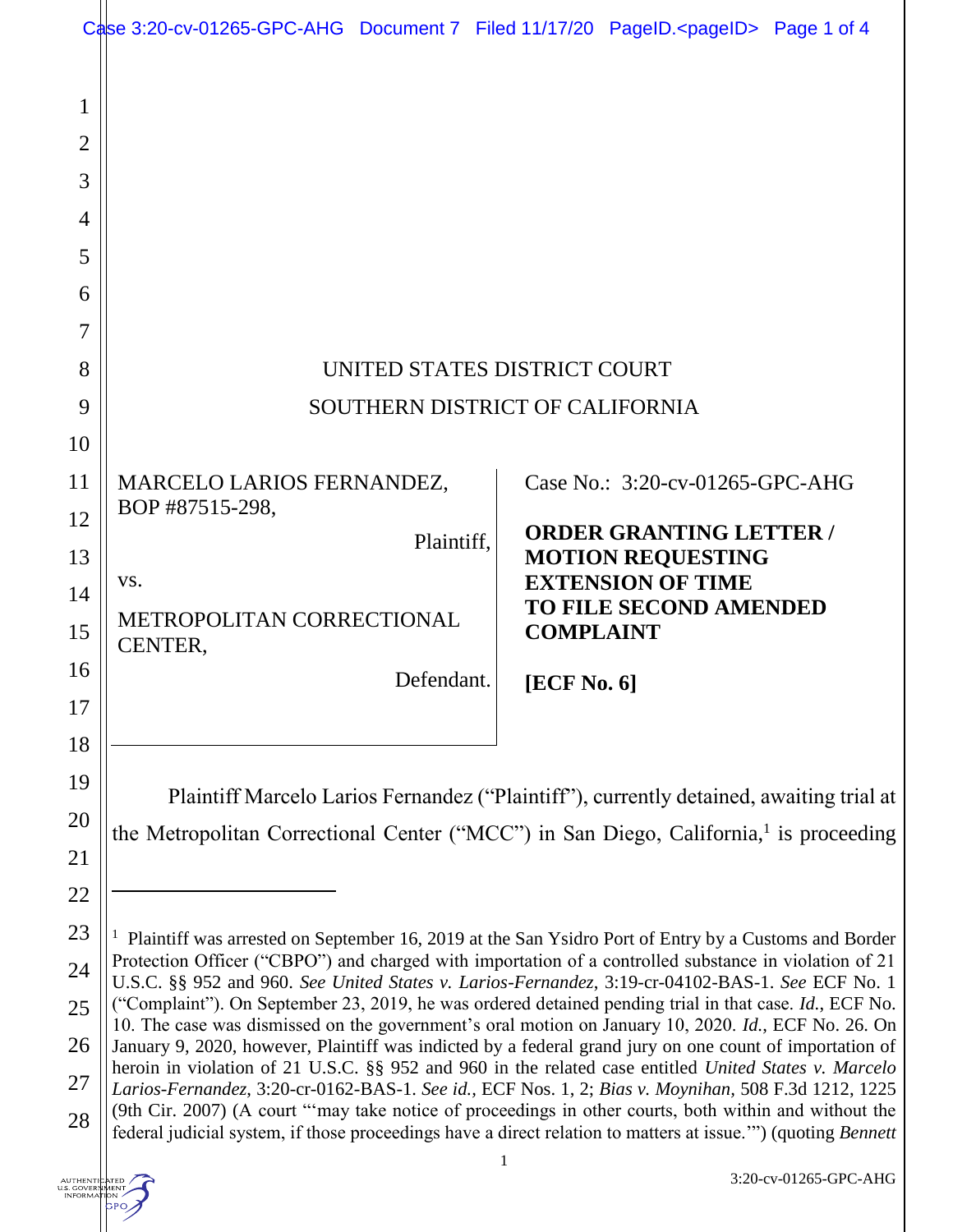|                     | Case 3:20-cv-01265-GPC-AHG Document 7 Filed 11/17/20 PageID. <pageid> Page 1 of 4</pageid>                                                                                                                                                                                                                                                                                                                                                                                                                                                                                                                                                                                                                                                                                                                                                                                                                                                                                                                                                                                               |            |                                |                                                      |  |  |
|---------------------|------------------------------------------------------------------------------------------------------------------------------------------------------------------------------------------------------------------------------------------------------------------------------------------------------------------------------------------------------------------------------------------------------------------------------------------------------------------------------------------------------------------------------------------------------------------------------------------------------------------------------------------------------------------------------------------------------------------------------------------------------------------------------------------------------------------------------------------------------------------------------------------------------------------------------------------------------------------------------------------------------------------------------------------------------------------------------------------|------------|--------------------------------|------------------------------------------------------|--|--|
| 1<br>$\overline{2}$ |                                                                                                                                                                                                                                                                                                                                                                                                                                                                                                                                                                                                                                                                                                                                                                                                                                                                                                                                                                                                                                                                                          |            |                                |                                                      |  |  |
| 3                   |                                                                                                                                                                                                                                                                                                                                                                                                                                                                                                                                                                                                                                                                                                                                                                                                                                                                                                                                                                                                                                                                                          |            |                                |                                                      |  |  |
| $\overline{4}$      |                                                                                                                                                                                                                                                                                                                                                                                                                                                                                                                                                                                                                                                                                                                                                                                                                                                                                                                                                                                                                                                                                          |            |                                |                                                      |  |  |
| 5                   |                                                                                                                                                                                                                                                                                                                                                                                                                                                                                                                                                                                                                                                                                                                                                                                                                                                                                                                                                                                                                                                                                          |            |                                |                                                      |  |  |
| 6                   |                                                                                                                                                                                                                                                                                                                                                                                                                                                                                                                                                                                                                                                                                                                                                                                                                                                                                                                                                                                                                                                                                          |            |                                |                                                      |  |  |
| 7                   |                                                                                                                                                                                                                                                                                                                                                                                                                                                                                                                                                                                                                                                                                                                                                                                                                                                                                                                                                                                                                                                                                          |            |                                |                                                      |  |  |
| 8                   | UNITED STATES DISTRICT COURT                                                                                                                                                                                                                                                                                                                                                                                                                                                                                                                                                                                                                                                                                                                                                                                                                                                                                                                                                                                                                                                             |            |                                |                                                      |  |  |
| 9                   | SOUTHERN DISTRICT OF CALIFORNIA                                                                                                                                                                                                                                                                                                                                                                                                                                                                                                                                                                                                                                                                                                                                                                                                                                                                                                                                                                                                                                                          |            |                                |                                                      |  |  |
| 10                  |                                                                                                                                                                                                                                                                                                                                                                                                                                                                                                                                                                                                                                                                                                                                                                                                                                                                                                                                                                                                                                                                                          |            |                                |                                                      |  |  |
| 11                  | <b>MARCELO LARIOS FERNANDEZ,</b><br>BOP #87515-298,                                                                                                                                                                                                                                                                                                                                                                                                                                                                                                                                                                                                                                                                                                                                                                                                                                                                                                                                                                                                                                      |            |                                | Case No.: 3:20-cv-01265-GPC-AHG                      |  |  |
| 12                  | Plaintiff.                                                                                                                                                                                                                                                                                                                                                                                                                                                                                                                                                                                                                                                                                                                                                                                                                                                                                                                                                                                                                                                                               |            | <b>ORDER GRANTING LETTER /</b> |                                                      |  |  |
| 13                  | VS.                                                                                                                                                                                                                                                                                                                                                                                                                                                                                                                                                                                                                                                                                                                                                                                                                                                                                                                                                                                                                                                                                      |            |                                | <b>MOTION REQUESTING</b><br><b>EXTENSION OF TIME</b> |  |  |
| 14<br>15            | METROPOLITAN CORRECTIONAL<br>CENTER,                                                                                                                                                                                                                                                                                                                                                                                                                                                                                                                                                                                                                                                                                                                                                                                                                                                                                                                                                                                                                                                     |            |                                | <b>TO FILE SECOND AMENDED</b><br><b>COMPLAINT</b>    |  |  |
| 16                  |                                                                                                                                                                                                                                                                                                                                                                                                                                                                                                                                                                                                                                                                                                                                                                                                                                                                                                                                                                                                                                                                                          | Defendant. | [ECF No. 6]                    |                                                      |  |  |
| 17                  |                                                                                                                                                                                                                                                                                                                                                                                                                                                                                                                                                                                                                                                                                                                                                                                                                                                                                                                                                                                                                                                                                          |            |                                |                                                      |  |  |
| 18                  |                                                                                                                                                                                                                                                                                                                                                                                                                                                                                                                                                                                                                                                                                                                                                                                                                                                                                                                                                                                                                                                                                          |            |                                |                                                      |  |  |
| 19                  | Plaintiff Marcelo Larios Fernandez ("Plaintiff"), currently detained, awaiting trial at<br>the Metropolitan Correctional Center ("MCC") in San Diego, California, <sup>1</sup> is proceeding                                                                                                                                                                                                                                                                                                                                                                                                                                                                                                                                                                                                                                                                                                                                                                                                                                                                                             |            |                                |                                                      |  |  |
| 20<br>21            |                                                                                                                                                                                                                                                                                                                                                                                                                                                                                                                                                                                                                                                                                                                                                                                                                                                                                                                                                                                                                                                                                          |            |                                |                                                      |  |  |
| 22                  |                                                                                                                                                                                                                                                                                                                                                                                                                                                                                                                                                                                                                                                                                                                                                                                                                                                                                                                                                                                                                                                                                          |            |                                |                                                      |  |  |
| 23                  | $\mathbf{I}$                                                                                                                                                                                                                                                                                                                                                                                                                                                                                                                                                                                                                                                                                                                                                                                                                                                                                                                                                                                                                                                                             |            |                                |                                                      |  |  |
| 24                  | Plaintiff was arrested on September 16, 2019 at the San Ysidro Port of Entry by a Customs and Border<br>Protection Officer ("CBPO") and charged with importation of a controlled substance in violation of 21<br>U.S.C. §§ 952 and 960. See United States v. Larios-Fernandez, 3:19-cr-04102-BAS-1. See ECF No. 1<br>("Complaint"). On September 23, 2019, he was ordered detained pending trial in that case. Id., ECF No.<br>10. The case was dismissed on the government's oral motion on January 10, 2020. Id., ECF No. 26. On<br>January 9, 2020, however, Plaintiff was indicted by a federal grand jury on one count of importation of<br>heroin in violation of 21 U.S.C. §§ 952 and 960 in the related case entitled United States v. Marcelo<br>Larios-Fernandez, 3:20-cr-0162-BAS-1. See id., ECF Nos. 1, 2; Bias v. Moynihan, 508 F.3d 1212, 1225<br>(9th Cir. 2007) (A court "'may take notice of proceedings in other courts, both within and without the<br>federal judicial system, if those proceedings have a direct relation to matters at issue."") (quoting Bennett |            |                                |                                                      |  |  |
| 25                  |                                                                                                                                                                                                                                                                                                                                                                                                                                                                                                                                                                                                                                                                                                                                                                                                                                                                                                                                                                                                                                                                                          |            |                                |                                                      |  |  |
| 26                  |                                                                                                                                                                                                                                                                                                                                                                                                                                                                                                                                                                                                                                                                                                                                                                                                                                                                                                                                                                                                                                                                                          |            |                                |                                                      |  |  |
| 27                  |                                                                                                                                                                                                                                                                                                                                                                                                                                                                                                                                                                                                                                                                                                                                                                                                                                                                                                                                                                                                                                                                                          |            |                                |                                                      |  |  |
| 28                  |                                                                                                                                                                                                                                                                                                                                                                                                                                                                                                                                                                                                                                                                                                                                                                                                                                                                                                                                                                                                                                                                                          |            |                                |                                                      |  |  |

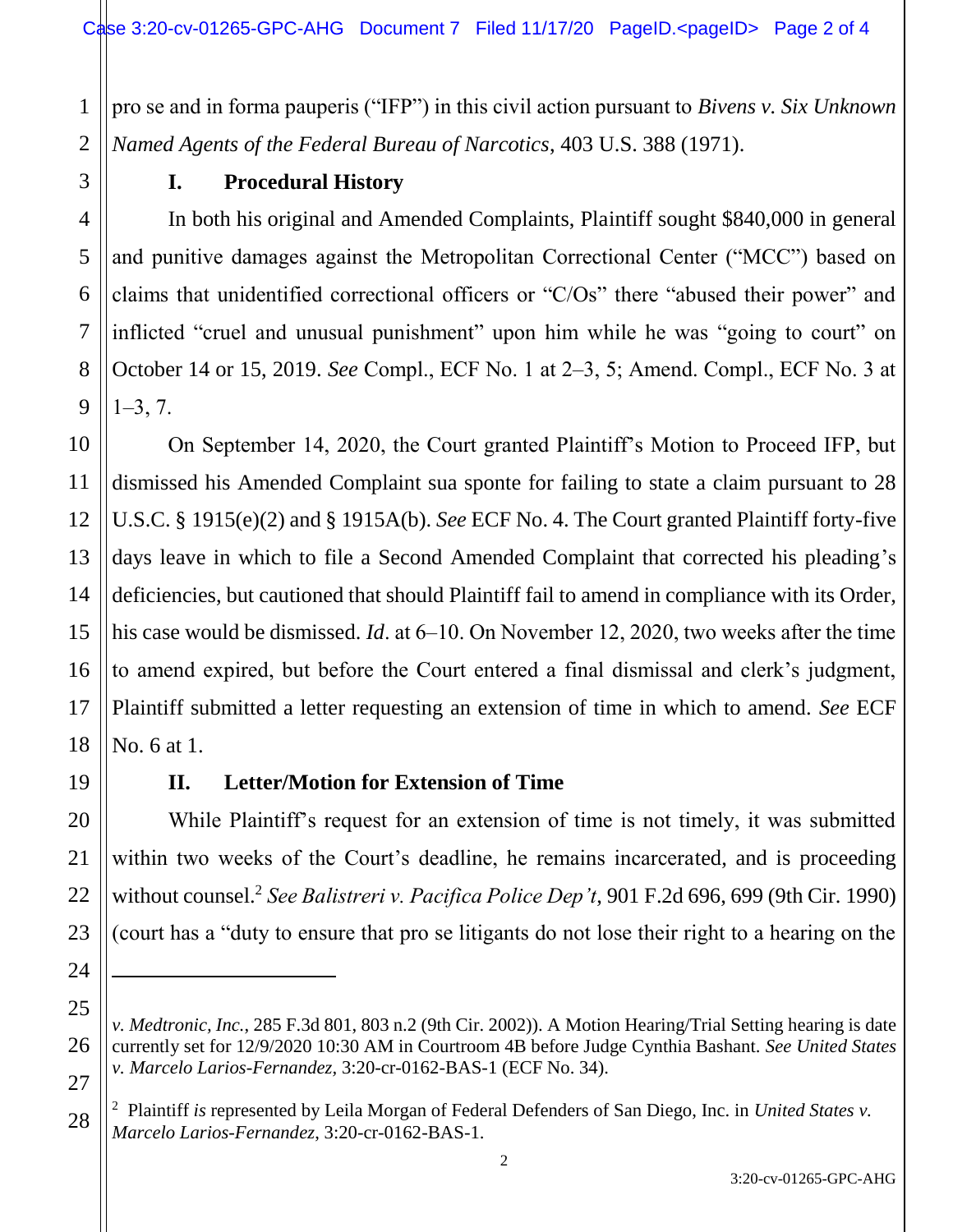1 2 pro se and in forma pauperis ("IFP") in this civil action pursuant to *Bivens v. Six Unknown Named Agents of the Federal Bureau of Narcotics*, 403 U.S. 388 (1971).

3

4

5

6

7

8

9

10

11

12

13

14

15

16

17

18

19

20

21

22

23

24

 $\overline{a}$ 

25

26

27

# **I. Procedural History**

In both his original and Amended Complaints, Plaintiff sought \$840,000 in general and punitive damages against the Metropolitan Correctional Center ("MCC") based on claims that unidentified correctional officers or "C/Os" there "abused their power" and inflicted "cruel and unusual punishment" upon him while he was "going to court" on October 14 or 15, 2019. *See* Compl., ECF No. 1 at 2‒3, 5; Amend. Compl., ECF No. 3 at  $1 - 3, 7.$ 

On September 14, 2020, the Court granted Plaintiff's Motion to Proceed IFP, but dismissed his Amended Complaint sua sponte for failing to state a claim pursuant to 28 U.S.C. § 1915(e)(2) and § 1915A(b). *See* ECF No. 4. The Court granted Plaintiff forty-five days leave in which to file a Second Amended Complaint that corrected his pleading's deficiencies, but cautioned that should Plaintiff fail to amend in compliance with its Order, his case would be dismissed. *Id*. at 6–10. On November 12, 2020, two weeks after the time to amend expired, but before the Court entered a final dismissal and clerk's judgment, Plaintiff submitted a letter requesting an extension of time in which to amend. *See* ECF No. 6 at 1.

# **II. Letter/Motion for Extension of Time**

While Plaintiff's request for an extension of time is not timely, it was submitted within two weeks of the Court's deadline, he remains incarcerated, and is proceeding without counsel.<sup>2</sup> *See Balistreri v. Pacifica Police Dep't*, 901 F.2d 696, 699 (9th Cir. 1990) (court has a "duty to ensure that pro se litigants do not lose their right to a hearing on the

*v. Medtronic, Inc.*, 285 F.3d 801, 803 n.2 (9th Cir. 2002)). A Motion Hearing/Trial Setting hearing is date currently set for 12/9/2020 10:30 AM in Courtroom 4B before Judge Cynthia Bashant. *See United States v. Marcelo Larios-Fernandez,* 3:20-cr-0162-BAS-1 (ECF No. 34).

<sup>28</sup> 2 Plaintiff *is* represented by Leila Morgan of Federal Defenders of San Diego, Inc. in *United States v. Marcelo Larios-Fernandez*, 3:20-cr-0162-BAS-1.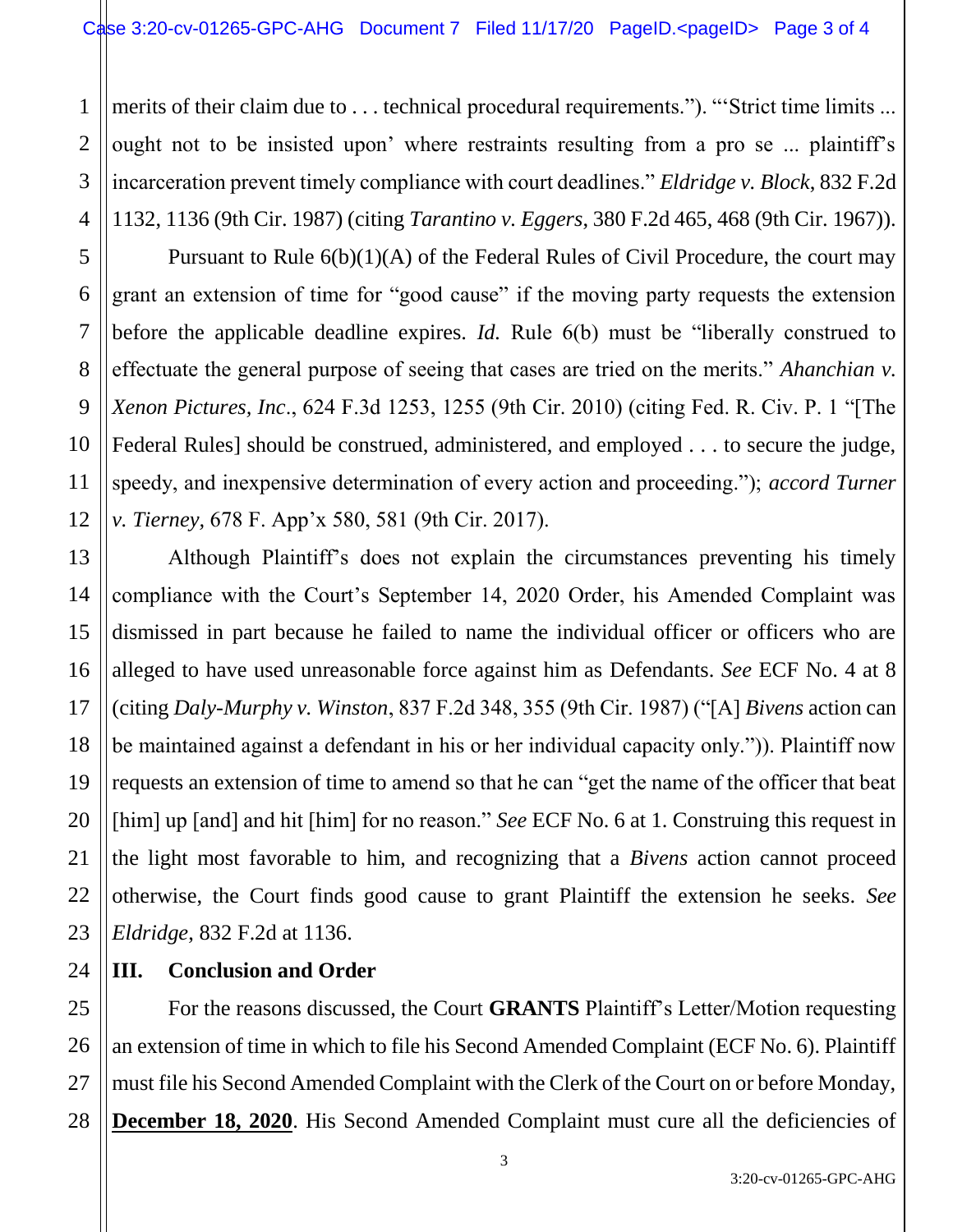merits of their claim due to . . . technical procedural requirements."). "Strict time limits ... ought not to be insisted upon' where restraints resulting from a pro se ... plaintiff's incarceration prevent timely compliance with court deadlines." *Eldridge v. Block*, 832 F.2d 1132, 1136 (9th Cir. 1987) (citing *Tarantino v. Eggers*, 380 F.2d 465, 468 (9th Cir. 1967)).

Pursuant to Rule 6(b)(1)(A) of the Federal Rules of Civil Procedure, the court may grant an extension of time for "good cause" if the moving party requests the extension before the applicable deadline expires. *Id.* Rule 6(b) must be "liberally construed to effectuate the general purpose of seeing that cases are tried on the merits." *Ahanchian v. Xenon Pictures, Inc*., 624 F.3d 1253, 1255 (9th Cir. 2010) (citing Fed. R. Civ. P. 1 "[The Federal Rules] should be construed, administered, and employed . . . to secure the judge, speedy, and inexpensive determination of every action and proceeding."); *accord Turner v. Tierney,* 678 F. App'x 580, 581 (9th Cir. 2017).

Although Plaintiff's does not explain the circumstances preventing his timely compliance with the Court's September 14, 2020 Order, his Amended Complaint was dismissed in part because he failed to name the individual officer or officers who are alleged to have used unreasonable force against him as Defendants. *See* ECF No. 4 at 8 (citing *Daly-Murphy v. Winston*, 837 F.2d 348, 355 (9th Cir. 1987) ("[A] *Bivens* action can be maintained against a defendant in his or her individual capacity only.")). Plaintiff now requests an extension of time to amend so that he can "get the name of the officer that beat [him] up [and] and hit [him] for no reason." *See* ECF No. 6 at 1. Construing this request in the light most favorable to him, and recognizing that a *Bivens* action cannot proceed otherwise, the Court finds good cause to grant Plaintiff the extension he seeks. *See Eldridge*, 832 F.2d at 1136.

## 24 **III. Conclusion and Order**

1

2

3

4

5

6

7

8

9

10

11

12

13

14

15

16

17

18

19

20

21

22

23

25 26 27 28 For the reasons discussed, the Court **GRANTS** Plaintiff's Letter/Motion requesting an extension of time in which to file his Second Amended Complaint (ECF No. 6). Plaintiff must file his Second Amended Complaint with the Clerk of the Court on or before Monday, **December 18, 2020**. His Second Amended Complaint must cure all the deficiencies of